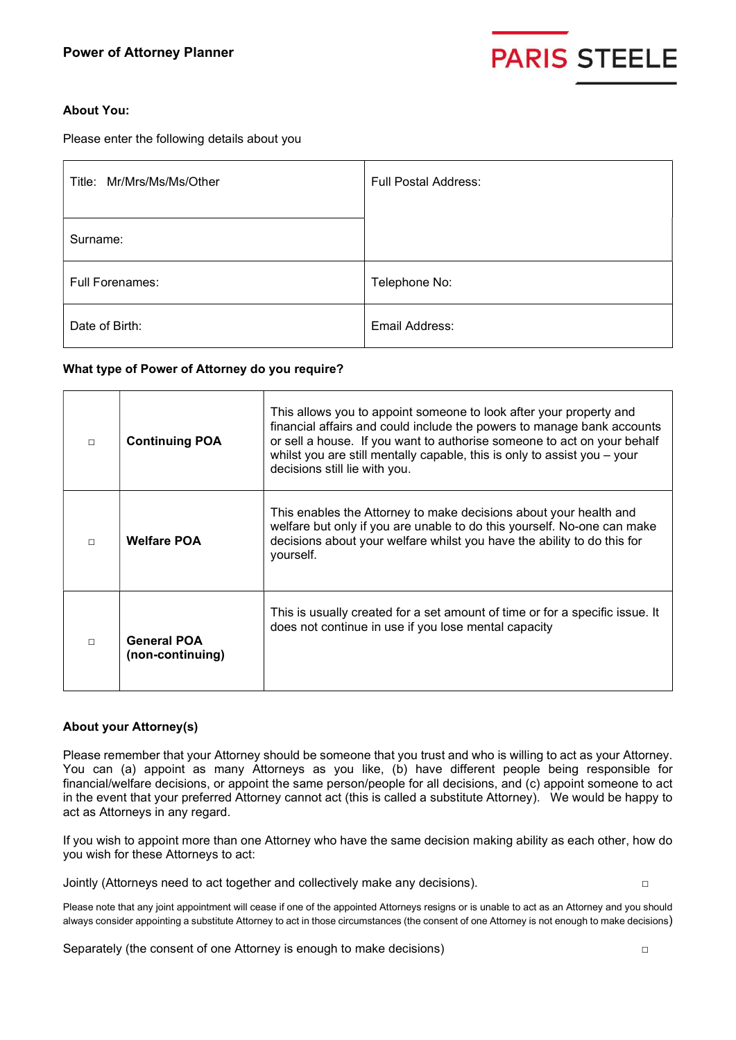

# About You:

Please enter the following details about you

| Title: Mr/Mrs/Ms/Ms/Other | <b>Full Postal Address:</b> |
|---------------------------|-----------------------------|
| Surname:                  |                             |
| <b>Full Forenames:</b>    | Telephone No:               |
| Date of Birth:            | Email Address:              |

# What type of Power of Attorney do you require?

| $\Box$ | <b>Continuing POA</b>                  | This allows you to appoint someone to look after your property and<br>financial affairs and could include the powers to manage bank accounts<br>or sell a house. If you want to authorise someone to act on your behalf<br>whilst you are still mentally capable, this is only to assist you $-$ your<br>decisions still lie with you. |
|--------|----------------------------------------|----------------------------------------------------------------------------------------------------------------------------------------------------------------------------------------------------------------------------------------------------------------------------------------------------------------------------------------|
| $\Box$ | <b>Welfare POA</b>                     | This enables the Attorney to make decisions about your health and<br>welfare but only if you are unable to do this yourself. No-one can make<br>decisions about your welfare whilst you have the ability to do this for<br>yourself.                                                                                                   |
| $\Box$ | <b>General POA</b><br>(non-continuing) | This is usually created for a set amount of time or for a specific issue. It<br>does not continue in use if you lose mental capacity                                                                                                                                                                                                   |

# About your Attorney(s)

Please remember that your Attorney should be someone that you trust and who is willing to act as your Attorney. You can (a) appoint as many Attorneys as you like, (b) have different people being responsible for financial/welfare decisions, or appoint the same person/people for all decisions, and (c) appoint someone to act in the event that your preferred Attorney cannot act (this is called a substitute Attorney). We would be happy to act as Attorneys in any regard.

If you wish to appoint more than one Attorney who have the same decision making ability as each other, how do you wish for these Attorneys to act:

Jointly (Attorneys need to act together and collectively make any decisions). □

Please note that any joint appointment will cease if one of the appointed Attorneys resigns or is unable to act as an Attorney and you should always consider appointing a substitute Attorney to act in those circumstances (the consent of one Attorney is not enough to make decisions)

Separately (the consent of one Attorney is enough to make decisions)  $\Box$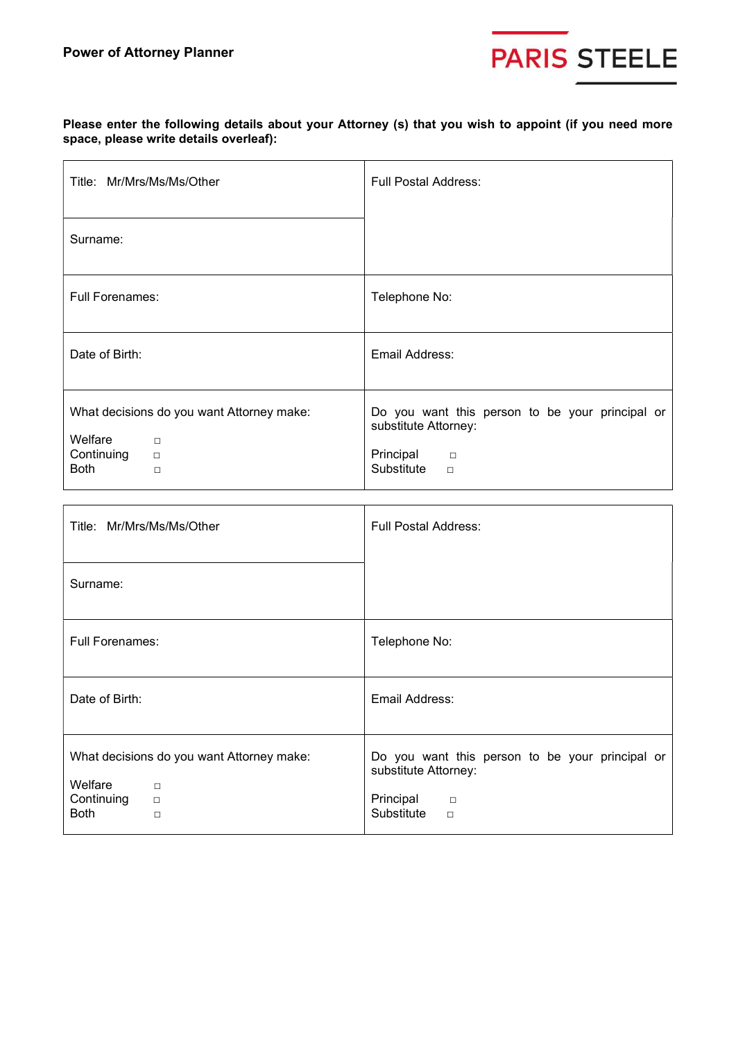

Please enter the following details about your Attorney (s) that you wish to appoint (if you need more space, please write details overleaf):

| Title: Mr/Mrs/Ms/Ms/Other                                                                                                     | <b>Full Postal Address:</b>                                                                                                      |  |  |
|-------------------------------------------------------------------------------------------------------------------------------|----------------------------------------------------------------------------------------------------------------------------------|--|--|
| Surname:                                                                                                                      |                                                                                                                                  |  |  |
| <b>Full Forenames:</b>                                                                                                        | Telephone No:                                                                                                                    |  |  |
| Date of Birth:                                                                                                                | Email Address:                                                                                                                   |  |  |
| What decisions do you want Attorney make:<br>Welfare<br>$\Box$<br>Continuing<br>$\qquad \qquad \Box$<br><b>Both</b><br>$\Box$ | Do you want this person to be your principal or<br>substitute Attorney:<br>Principal<br>$\overline{\phantom{a}}$<br>Substitute o |  |  |

| Title: Mr/Mrs/Ms/Ms/Other                                                                                       | <b>Full Postal Address:</b>                                                                                            |  |
|-----------------------------------------------------------------------------------------------------------------|------------------------------------------------------------------------------------------------------------------------|--|
| Surname:                                                                                                        |                                                                                                                        |  |
| <b>Full Forenames:</b>                                                                                          | Telephone No:                                                                                                          |  |
| Date of Birth:                                                                                                  | Email Address:                                                                                                         |  |
| What decisions do you want Attorney make:<br>Welfare<br>$\Box$<br>Continuing<br>$\Box$<br><b>Both</b><br>$\Box$ | Do you want this person to be your principal or<br>substitute Attorney:<br>Principal<br>$\Box$<br>Substitute<br>$\Box$ |  |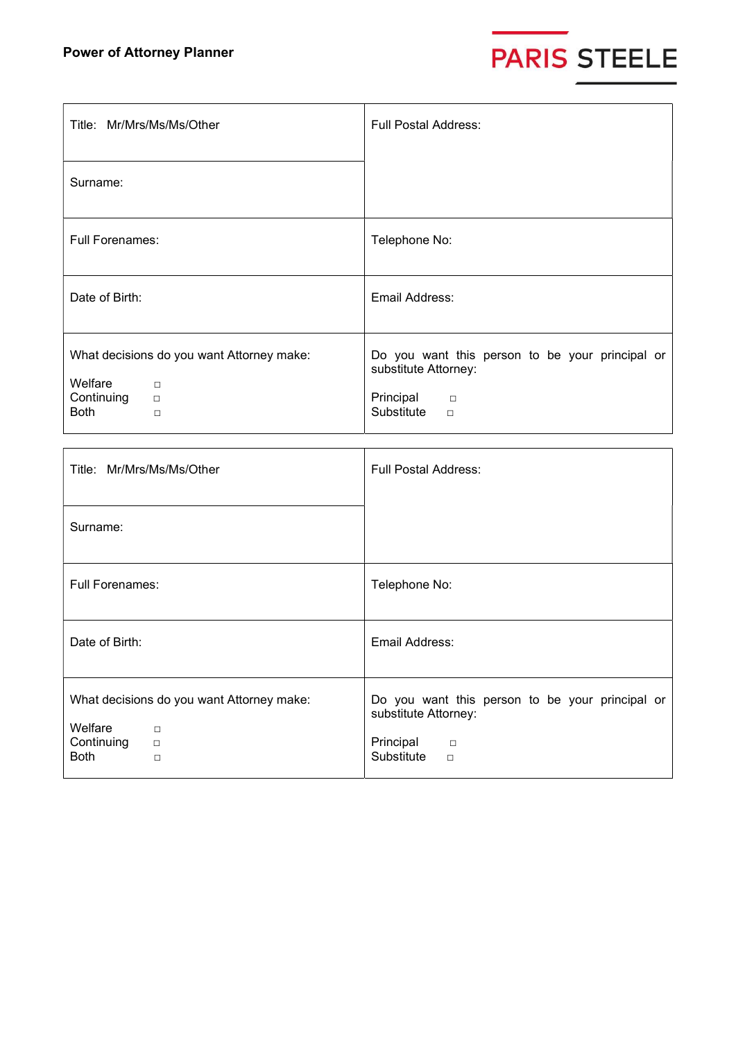

| Title: Mr/Mrs/Ms/Ms/Other                                                                                       | <b>Full Postal Address:</b>                                                                                                          |
|-----------------------------------------------------------------------------------------------------------------|--------------------------------------------------------------------------------------------------------------------------------------|
| Surname:                                                                                                        |                                                                                                                                      |
| <b>Full Forenames:</b>                                                                                          | Telephone No:                                                                                                                        |
| Date of Birth:                                                                                                  | Email Address:                                                                                                                       |
| What decisions do you want Attorney make:<br>Welfare<br>$\Box$<br>Continuing<br>$\Box$<br><b>Both</b><br>$\Box$ | Do you want this person to be your principal or<br>substitute Attorney:<br>Principal<br>$\qquad \qquad \Box$<br>Substitute<br>$\Box$ |

| Title: Mr/Mrs/Ms/Ms/Other                                                                                       | <b>Full Postal Address:</b>                                                                                            |  |  |
|-----------------------------------------------------------------------------------------------------------------|------------------------------------------------------------------------------------------------------------------------|--|--|
| Surname:                                                                                                        |                                                                                                                        |  |  |
| <b>Full Forenames:</b>                                                                                          | Telephone No:                                                                                                          |  |  |
| Date of Birth:                                                                                                  | Email Address:                                                                                                         |  |  |
| What decisions do you want Attorney make:<br>Welfare<br>$\Box$<br>Continuing<br>$\Box$<br><b>Both</b><br>$\Box$ | Do you want this person to be your principal or<br>substitute Attorney:<br>Principal<br>$\Box$<br>Substitute<br>$\Box$ |  |  |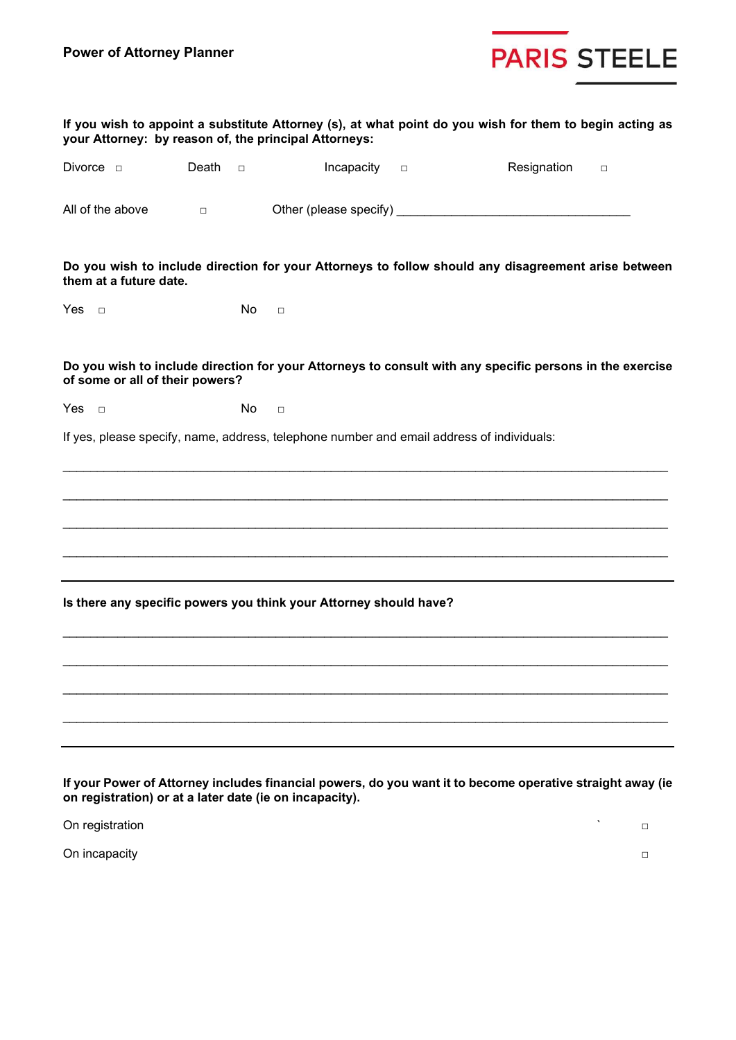

| If you wish to appoint a substitute Attorney (s), at what point do you wish for them to begin acting as<br>your Attorney: by reason of, the principal Attorneys: |        |        |                                                                   |        |                                                                                                           |  |
|------------------------------------------------------------------------------------------------------------------------------------------------------------------|--------|--------|-------------------------------------------------------------------|--------|-----------------------------------------------------------------------------------------------------------|--|
| Divorce $\Box$                                                                                                                                                   | Death  | $\Box$ | Incapacity                                                        | $\Box$ | Resignation<br>$\Box$                                                                                     |  |
| All of the above                                                                                                                                                 | $\Box$ |        |                                                                   |        |                                                                                                           |  |
| them at a future date.                                                                                                                                           |        |        |                                                                   |        | Do you wish to include direction for your Attorneys to follow should any disagreement arise between       |  |
| Yes $\Box$                                                                                                                                                       |        | No     | $\Box$                                                            |        |                                                                                                           |  |
| of some or all of their powers?                                                                                                                                  |        |        |                                                                   |        | Do you wish to include direction for your Attorneys to consult with any specific persons in the exercise  |  |
| Yes $\Box$                                                                                                                                                       |        | No     | $\Box$                                                            |        |                                                                                                           |  |
|                                                                                                                                                                  |        |        |                                                                   |        | If yes, please specify, name, address, telephone number and email address of individuals:                 |  |
|                                                                                                                                                                  |        |        | Is there any specific powers you think your Attorney should have? |        |                                                                                                           |  |
| on registration) or at a later date (ie on incapacity).                                                                                                          |        |        |                                                                   |        | If your Power of Attorney includes financial powers, do you want it to become operative straight away (ie |  |

On registration  $\Box$ 

On incapacity □